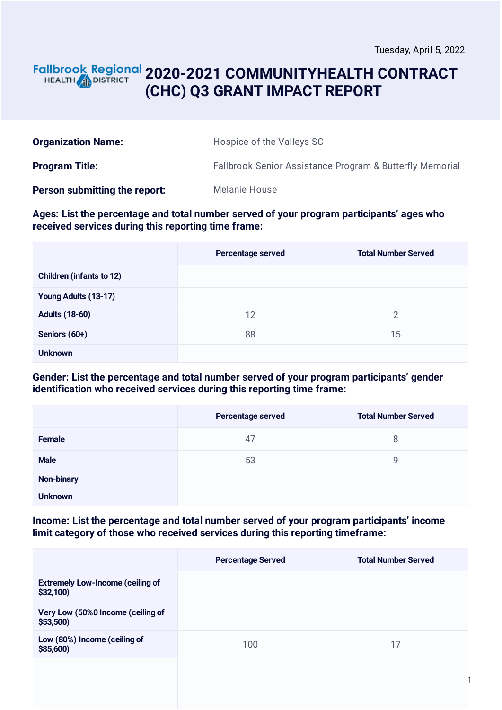### **2020-2021 COMMUNITYHEALTH CONTRACT** HEALTH **AND DISTRICT (CHC) Q3 GRANT IMPACT REPORT**

| <b>Organization Name:</b>     | Hospice of the Valleys SC                                |
|-------------------------------|----------------------------------------------------------|
| <b>Program Title:</b>         | Fallbrook Senior Assistance Program & Butterfly Memorial |
| Person submitting the report: | Melanie House                                            |

#### **Ages: List the percentage and total number served of your program participants' ages who received services during this reporting time frame:**

|                                 | Percentage served | <b>Total Number Served</b> |
|---------------------------------|-------------------|----------------------------|
| <b>Children (infants to 12)</b> |                   |                            |
| Young Adults (13-17)            |                   |                            |
| <b>Adults (18-60)</b>           | 12                | $\overline{2}$             |
| Seniors (60+)                   | 88                | 15                         |
| <b>Unknown</b>                  |                   |                            |

### **Gender: List the percentage and total number served of your program participants' gender identification who received services during this reporting time frame:**

|                   | Percentage served | <b>Total Number Served</b> |
|-------------------|-------------------|----------------------------|
| <b>Female</b>     | 47                | 8                          |
| <b>Male</b>       | 53                | 9                          |
| <b>Non-binary</b> |                   |                            |
| <b>Unknown</b>    |                   |                            |

### **Income: List the percentage and total number served of your program participants' income limit category of those who received services during this reporting timeframe:**

|                                                     | <b>Percentage Served</b> | <b>Total Number Served</b> |
|-----------------------------------------------------|--------------------------|----------------------------|
| <b>Extremely Low-Income (ceiling of</b><br>\$32,100 |                          |                            |
| Very Low (50%0 Income (ceiling of<br>\$53,500       |                          |                            |
| Low (80%) Income (ceiling of<br>\$85,600)           | 100                      | 17                         |
|                                                     |                          |                            |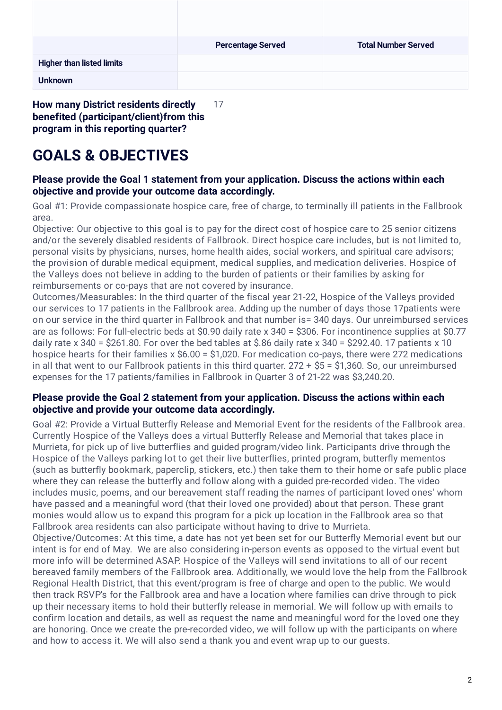|                                                                                                                                                                                                                                                                                  | <b>Percentage Served</b> | <b>Total Number Served</b> |
|----------------------------------------------------------------------------------------------------------------------------------------------------------------------------------------------------------------------------------------------------------------------------------|--------------------------|----------------------------|
| <b>Higher than listed limits</b>                                                                                                                                                                                                                                                 |                          |                            |
| <b>Unknown</b>                                                                                                                                                                                                                                                                   |                          |                            |
| <b>How many District residents directly</b><br>$\mathcal{L}$ and the contract of the contract of the contract of the contract of the contract of the contract of the contract of the contract of the contract of the contract of the contract of the contract of the contract of | 17                       |                            |

**benefited (participant/client)from this program in this reporting quarter?**

# **GOALS & OBJECTIVES**

### **Please provide the Goal 1 statement from your application. Discuss the actions within each objective and provide your outcome data accordingly.**

Goal #1: Provide compassionate hospice care, free of charge, to terminally ill patients in the Fallbrook area.

Objective: Our objective to this goal is to pay for the direct cost of hospice care to 25 senior citizens and/or the severely disabled residents of Fallbrook. Direct hospice care includes, but is not limited to, personal visits by physicians, nurses, home health aides, social workers, and spiritual care advisors; the provision of durable medical equipment, medical supplies, and medication deliveries. Hospice of the Valleys does not believe in adding to the burden of patients or their families by asking for reimbursements or co-pays that are not covered by insurance.

Outcomes/Measurables: In the third quarter of the fiscal year 21-22, Hospice of the Valleys provided our services to 17 patients in the Fallbrook area. Adding up the number of days those 17patients were on our service in the third quarter in Fallbrook and that number is= 340 days. Our unreimbursed services are as follows: For full-electric beds at \$0.90 daily rate x 340 = \$306. For incontinence supplies at \$0.77 daily rate x 340 = \$261.80. For over the bed tables at \$.86 daily rate x 340 = \$292.40. 17 patients x 10 hospice hearts for their families x \$6.00 = \$1,020. For medication co-pays, there were 272 medications in all that went to our Fallbrook patients in this third quarter. 272 + \$5 = \$1,360. So, our unreimbursed expenses for the 17 patients/families in Fallbrook in Quarter 3 of 21-22 was \$3,240.20.

### **Please provide the Goal 2 statement from your application. Discuss the actions within each objective and provide your outcome data accordingly.**

Goal #2: Provide a Virtual Butterfly Release and Memorial Event for the residents of the Fallbrook area. Currently Hospice of the Valleys does a virtual Butterfly Release and Memorial that takes place in Murrieta, for pick up of live butterflies and guided program/video link. Participants drive through the Hospice of the Valleys parking lot to get their live butterflies, printed program, butterfly mementos (such as butterfly bookmark, paperclip, stickers, etc.) then take them to their home or safe public place where they can release the butterfly and follow along with a guided pre-recorded video. The video includes music, poems, and our bereavement staff reading the names of participant loved ones' whom have passed and a meaningful word (that their loved one provided) about that person. These grant monies would allow us to expand this program for a pick up location in the Fallbrook area so that Fallbrook area residents can also participate without having to drive to Murrieta.

Objective/Outcomes: At this time, a date has not yet been set for our Butterfly Memorial event but our intent is for end of May. We are also considering in-person events as opposed to the virtual event but more info will be determined ASAP. Hospice of the Valleys will send invitations to all of our recent bereaved family members of the Fallbrook area. Additionally, we would love the help from the Fallbrook Regional Health District, that this event/program is free of charge and open to the public. We would then track RSVP's for the Fallbrook area and have a location where families can drive through to pick up their necessary items to hold their butterfly release in memorial. We will follow up with emails to confirm location and details, as well as request the name and meaningful word for the loved one they are honoring. Once we create the pre-recorded video, we will follow up with the participants on where and how to access it. We will also send a thank you and event wrap up to our guests.